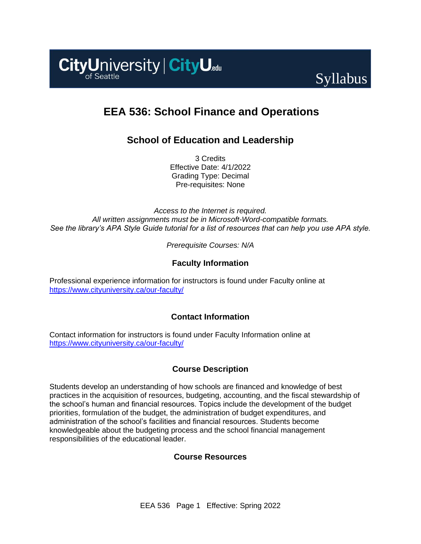



# **EEA 536: School Finance and Operations**

## **School of Education and Leadership**

3 Credits Effective Date: 4/1/2022 Grading Type: Decimal Pre-requisites: None

*Access to the Internet is required. All written assignments must be in Microsoft-Word-compatible formats. See the library's APA Style Guide tutorial for a list of resources that can help you use APA style.*

*Prerequisite Courses: N/A*

### **Faculty Information**

Professional experience information for instructors is found under Faculty online at <https://www.cityuniversity.ca/our-faculty/>

### **Contact Information**

Contact information for instructors is found under Faculty Information online at <https://www.cityuniversity.ca/our-faculty/>

### **Course Description**

Students develop an understanding of how schools are financed and knowledge of best practices in the acquisition of resources, budgeting, accounting, and the fiscal stewardship of the school's human and financial resources. Topics include the development of the budget priorities, formulation of the budget, the administration of budget expenditures, and administration of the school's facilities and financial resources. Students become knowledgeable about the budgeting process and the school financial management responsibilities of the educational leader.

### **Course Resources**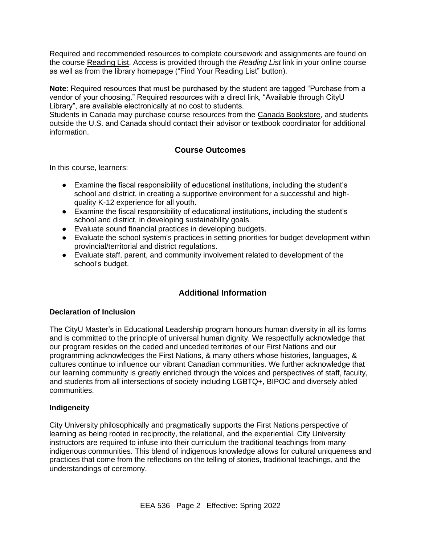Required and recommended resources to complete coursework and assignments are found on the course [Reading List.](https://cityu.alma.exlibrisgroup.com/leganto/login?auth=SAML) Access is provided through the *Reading List* link in your online course as well as from the library homepage ("Find Your Reading List" button).

**Note**: Required resources that must be purchased by the student are tagged "Purchase from a vendor of your choosing." Required resources with a direct link, "Available through CityU Library", are available electronically at no cost to students.

Students in Canada may purchase course resources from the [Canada Bookstore,](https://www.cityubookstore.ca/index.asp) and students outside the U.S. and Canada should contact their advisor or textbook coordinator for additional information.

### **Course Outcomes**

In this course, learners:

- Examine the fiscal responsibility of educational institutions, including the student's school and district, in creating a supportive environment for a successful and highquality K-12 experience for all youth.
- Examine the fiscal responsibility of educational institutions, including the student's school and district, in developing sustainability goals.
- Evaluate sound financial practices in developing budgets.
- Evaluate the school system's practices in setting priorities for budget development within provincial/territorial and district regulations.
- Evaluate staff, parent, and community involvement related to development of the school's budget.

### **Additional Information**

#### **Declaration of Inclusion**

The CityU Master's in Educational Leadership program honours human diversity in all its forms and is committed to the principle of universal human dignity. We respectfully acknowledge that our program resides on the ceded and unceded territories of our First Nations and our programming acknowledges the First Nations, & many others whose histories, languages, & cultures continue to influence our vibrant Canadian communities. We further acknowledge that our learning community is greatly enriched through the voices and perspectives of staff, faculty, and students from all intersections of society including LGBTQ+, BIPOC and diversely abled communities.

#### **Indigeneity**

City University philosophically and pragmatically supports the First Nations perspective of learning as being rooted in reciprocity, the relational, and the experiential. City University instructors are required to infuse into their curriculum the traditional teachings from many indigenous communities. This blend of indigenous knowledge allows for cultural uniqueness and practices that come from the reflections on the telling of stories, traditional teachings, and the understandings of ceremony.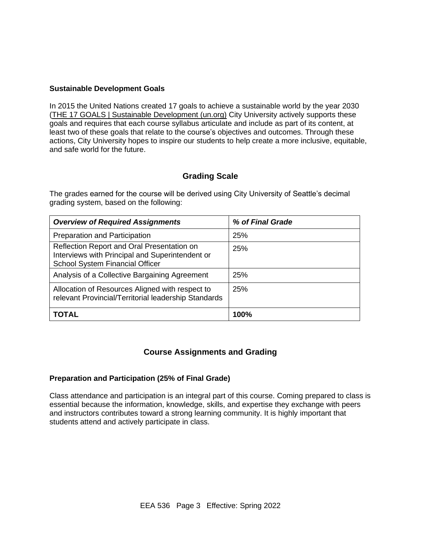#### **Sustainable Development Goals**

In 2015 the United Nations created 17 goals to achieve a sustainable world by the year 2030 [\(THE 17 GOALS | Sustainable Development \(un.org\)](https://sdgs.un.org/goals) City University actively supports these goals and requires that each course syllabus articulate and include as part of its content, at least two of these goals that relate to the course's objectives and outcomes. Through these actions, City University hopes to inspire our students to help create a more inclusive, equitable, and safe world for the future.

### **Grading Scale**

The grades earned for the course will be derived using City University of Seattle's decimal grading system, based on the following:

| <b>Overview of Required Assignments</b>                                                                                                 | % of Final Grade |
|-----------------------------------------------------------------------------------------------------------------------------------------|------------------|
| <b>Preparation and Participation</b>                                                                                                    | 25%              |
| Reflection Report and Oral Presentation on<br>Interviews with Principal and Superintendent or<br><b>School System Financial Officer</b> | 25%              |
| Analysis of a Collective Bargaining Agreement                                                                                           | 25%              |
| Allocation of Resources Aligned with respect to<br>relevant Provincial/Territorial leadership Standards                                 | 25%              |
| <b>TOTAL</b>                                                                                                                            | 100%             |

### **Course Assignments and Grading**

#### **Preparation and Participation (25% of Final Grade)**

Class attendance and participation is an integral part of this course. Coming prepared to class is essential because the information, knowledge, skills, and expertise they exchange with peers and instructors contributes toward a strong learning community. It is highly important that students attend and actively participate in class.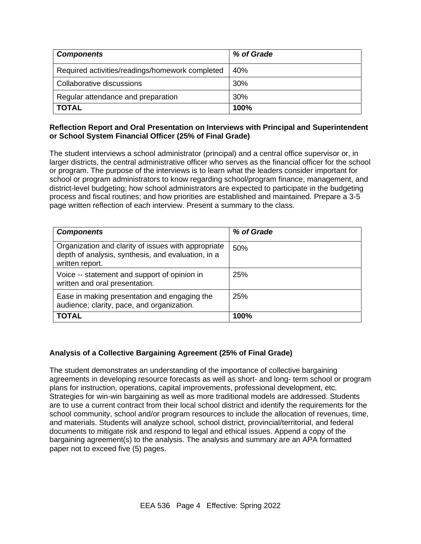| <b>Components</b>                               | % of Grade |
|-------------------------------------------------|------------|
| Required activities/readings/homework completed | 40%        |
| Collaborative discussions                       | 30%        |
| Regular attendance and preparation              | 30%        |
| <b>TOTAL</b>                                    | 100%       |

### **Reflection Report and Oral Presentation on Interviews with Principal and Superintendent or School System Financial Officer (25% of Final Grade)**

The student interviews a school administrator (principal) and a central office supervisor or, in larger districts, the central administrative officer who serves as the financial officer for the school or program. The purpose of the interviews is to learn what the leaders consider important for school or program administrators to know regarding school/program finance, management, and district-level budgeting; how school administrators are expected to participate in the budgeting process and fiscal routines; and how priorities are established and maintained. Prepare a 3-5 page written reflection of each interview. Present a summary to the class.

| <b>Components</b>                                                                                                            | % of Grade |
|------------------------------------------------------------------------------------------------------------------------------|------------|
| Organization and clarity of issues with appropriate<br>depth of analysis, synthesis, and evaluation, in a<br>written report. | 50%        |
| Voice -- statement and support of opinion in<br>written and oral presentation.                                               | 25%        |
| Ease in making presentation and engaging the<br>audience; clarity, pace, and organization.                                   | 25%        |
| <b>TOTAL</b>                                                                                                                 | 100%       |

### **Analysis of a Collective Bargaining Agreement (25% of Final Grade)**

The student demonstrates an understanding of the importance of collective bargaining agreements in developing resource forecasts as well as short- and long- term school or program plans for instruction, operations, capital improvements, professional development, etc. Strategies for win-win bargaining as well as more traditional models are addressed. Students are to use a current contract from their local school district and identify the requirements for the school community, school and/or program resources to include the allocation of revenues, time, and materials. Students will analyze school, school district, provincial/territorial, and federal documents to mitigate risk and respond to legal and ethical issues. Append a copy of the bargaining agreement(s) to the analysis. The analysis and summary are an APA formatted paper not to exceed five (5) pages.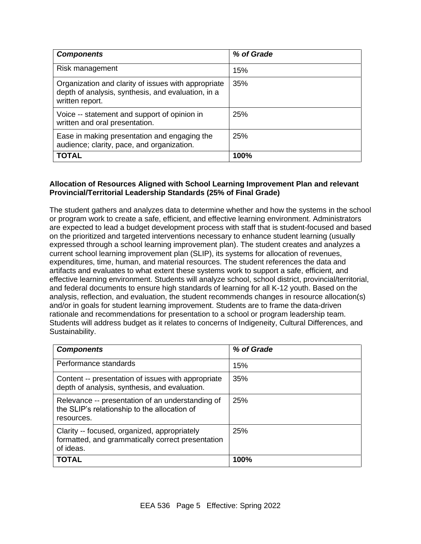| <b>Components</b>                                                                                                            | % of Grade |
|------------------------------------------------------------------------------------------------------------------------------|------------|
| Risk management                                                                                                              | 15%        |
| Organization and clarity of issues with appropriate<br>depth of analysis, synthesis, and evaluation, in a<br>written report. | 35%        |
| Voice -- statement and support of opinion in<br>written and oral presentation.                                               | 25%        |
| Ease in making presentation and engaging the<br>audience; clarity, pace, and organization.                                   | 25%        |
| <b>TOTAL</b>                                                                                                                 | 100%       |

### **Allocation of Resources Aligned with School Learning Improvement Plan and relevant Provincial/Territorial Leadership Standards (25% of Final Grade)**

The student gathers and analyzes data to determine whether and how the systems in the school or program work to create a safe, efficient, and effective learning environment. Administrators are expected to lead a budget development process with staff that is student-focused and based on the prioritized and targeted interventions necessary to enhance student learning (usually expressed through a school learning improvement plan). The student creates and analyzes a current school learning improvement plan (SLIP), its systems for allocation of revenues, expenditures, time, human, and material resources. The student references the data and artifacts and evaluates to what extent these systems work to support a safe, efficient, and effective learning environment. Students will analyze school, school district, provincial/territorial, and federal documents to ensure high standards of learning for all K-12 youth. Based on the analysis, reflection, and evaluation, the student recommends changes in resource allocation(s) and/or in goals for student learning improvement. Students are to frame the data-driven rationale and recommendations for presentation to a school or program leadership team. Students will address budget as it relates to concerns of Indigeneity, Cultural Differences, and Sustainability.

| <b>Components</b>                                                                                              | % of Grade |
|----------------------------------------------------------------------------------------------------------------|------------|
| Performance standards                                                                                          | 15%        |
| Content -- presentation of issues with appropriate<br>depth of analysis, synthesis, and evaluation.            | 35%        |
| Relevance -- presentation of an understanding of<br>the SLIP's relationship to the allocation of<br>resources. | 25%        |
| Clarity -- focused, organized, appropriately<br>formatted, and grammatically correct presentation<br>of ideas. | 25%        |
| <b>TOTAL</b>                                                                                                   | 100%       |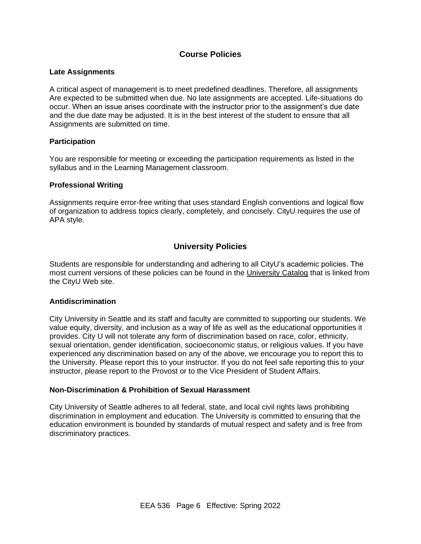### **Course Policies**

#### **Late Assignments**

A critical aspect of management is to meet predefined deadlines. Therefore, all assignments Are expected to be submitted when due. No late assignments are accepted. Life-situations do occur. When an issue arises coordinate with the instructor prior to the assignment's due date and the due date may be adjusted. It is in the best interest of the student to ensure that all Assignments are submitted on time.

#### **Participation**

You are responsible for meeting or exceeding the participation requirements as listed in the syllabus and in the Learning Management classroom.

#### **Professional Writing**

Assignments require error-free writing that uses standard English conventions and logical flow of organization to address topics clearly, completely, and concisely. CityU requires the use of APA style.

### **University Policies**

Students are responsible for understanding and adhering to all CityU's academic policies. The most current versions of these policies can be found in the [University Catalog](http://www.cityu.edu/catalog/) that is linked from the CityU Web site.

#### **Antidiscrimination**

City University in Seattle and its staff and faculty are committed to supporting our students. We value equity, diversity, and inclusion as a way of life as well as the educational opportunities it provides. City U will not tolerate any form of discrimination based on race, color, ethnicity, sexual orientation, gender identification, socioeconomic status, or religious values. If you have experienced any discrimination based on any of the above, we encourage you to report this to the University. Please report this to your instructor. If you do not feel safe reporting this to your instructor, please report to the Provost or to the Vice President of Student Affairs.

#### **Non-Discrimination & Prohibition of Sexual Harassment**

City University of Seattle adheres to all federal, state, and local civil rights laws prohibiting discrimination in employment and education. The University is committed to ensuring that the education environment is bounded by standards of mutual respect and safety and is free from discriminatory practices.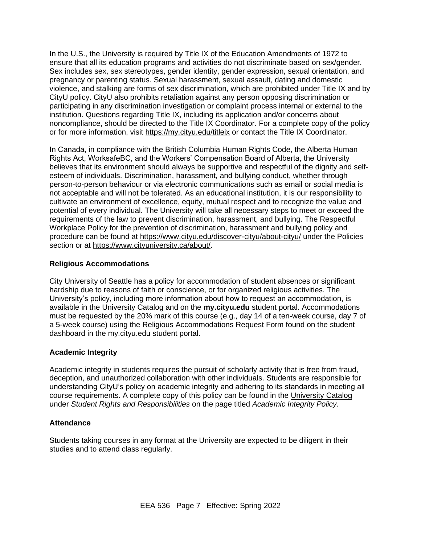In the U.S., the University is required by Title IX of the Education Amendments of 1972 to ensure that all its education programs and activities do not discriminate based on sex/gender. Sex includes sex, sex stereotypes, gender identity, gender expression, sexual orientation, and pregnancy or parenting status. Sexual harassment, sexual assault, dating and domestic violence, and stalking are forms of sex discrimination, which are prohibited under Title IX and by CityU policy. CityU also prohibits retaliation against any person opposing discrimination or participating in any discrimination investigation or complaint process internal or external to the institution. Questions regarding Title IX, including its application and/or concerns about noncompliance, should be directed to the Title IX Coordinator. For a complete copy of the policy or for more information, visit<https://my.cityu.edu/titleix> or contact the Title IX Coordinator.

In Canada, in compliance with the British Columbia Human Rights Code, the Alberta Human Rights Act, WorksafeBC, and the Workers' Compensation Board of Alberta, the University believes that its environment should always be supportive and respectful of the dignity and selfesteem of individuals. Discrimination, harassment, and bullying conduct, whether through person-to-person behaviour or via electronic communications such as email or social media is not acceptable and will not be tolerated. As an educational institution, it is our responsibility to cultivate an environment of excellence, equity, mutual respect and to recognize the value and potential of every individual. The University will take all necessary steps to meet or exceed the requirements of the law to prevent discrimination, harassment, and bullying. The Respectful Workplace Policy for the prevention of discrimination, harassment and bullying policy and procedure can be found at<https://www.cityu.edu/discover-cityu/about-cityu/> under the Policies section or at [https://www.cityuniversity.ca/about/.](https://www.cityuniversity.ca/about/)

### **Religious Accommodations**

City University of Seattle has a policy for accommodation of student absences or significant hardship due to reasons of faith or conscience, or for organized religious activities. The University's policy, including more information about how to request an accommodation, is available in the University Catalog and on the **my.cityu.edu** student portal. Accommodations must be requested by the 20% mark of this course (e.g., day 14 of a ten-week course, day 7 of a 5-week course) using the Religious Accommodations Request Form found on the student dashboard in the my.cityu.edu student portal.

#### **Academic Integrity**

Academic integrity in students requires the pursuit of scholarly activity that is free from fraud, deception, and unauthorized collaboration with other individuals. Students are responsible for understanding CityU's policy on academic integrity and adhering to its standards in meeting all course requirements. A complete copy of this policy can be found in the [University](http://www.cityu.edu/catalog/) Catalog under *Student Rights and Responsibilities* on the page titled *Academic Integrity Policy.* 

### **Attendance**

Students taking courses in any format at the University are expected to be diligent in their studies and to attend class regularly.